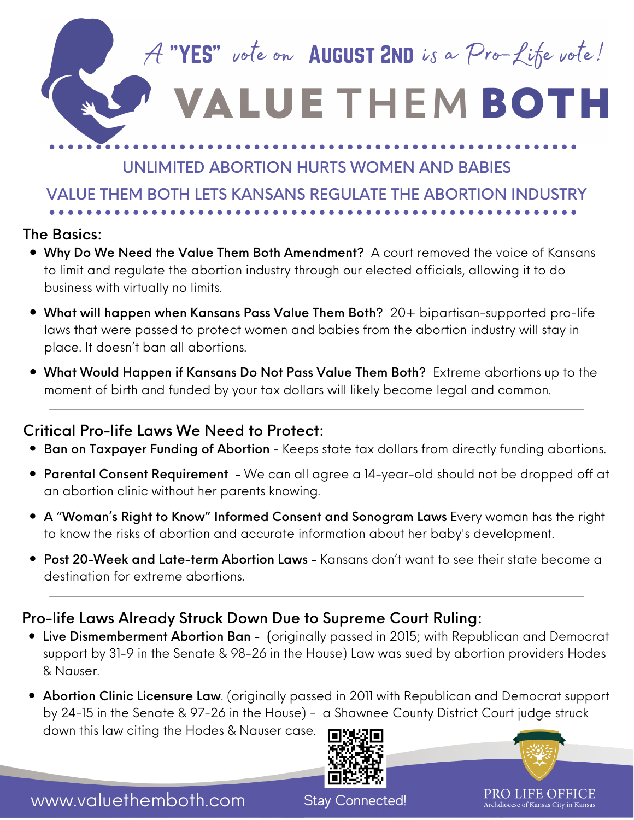A "YES" vote on AUGUST 2ND is a Pro-Life vote!

## **ALUE THEM BOTH**

## UNLIMITED ABORTION HURTS WOMEN AND BABIES

VALUE THEM BOTH LETS KANSANS REGULATE THE ABORTION INDUSTRY

#### The Basics:

- Why Do We Need the Value Them Both Amendment? A court removed the voice of Kansans to limit and regulate the abortion industry through our elected officials, allowing it to do business with virtually no limits.
- What will happen when Kansans Pass Value Them Both? 20+ bipartisan-supported pro-life laws that were passed to protect women and babies from the abortion industry will stay in place. It doesn't ban all abortions.
- What Would Happen if Kansans Do Not Pass Value Them Both? Extreme abortions up to the moment of birth and funded by your tax dollars will likely become legal and common.

## Critical Pro-life Laws We Need to Protect:

- **Ban on Taxpayer Funding of Abortion** Keeps state tax dollars from directly funding abortions.
- Parental Consent Requirement We can all agree a 14-year-old should not be dropped off at an abortion clinic without her parents knowing.
- A "Woman's Right to Know" Informed Consent and Sonogram Laws Every woman has the right to know the risks of abortion and accurate information about her baby's development.
- **Post 20-Week and Late-term Abortion Laws -** Kansans don't want to see their state become a destination for extreme abortions.

## Pro-life Laws Already Struck Down Due to Supreme Court Ruling:

- Live Dismemberment Abortion Ban (originally passed in 2015; with Republican and Democrat support by 31-9 in the Senate & 98-26 in the House) Law was sued by abortion providers Hodes & Nauser.
- Abortion Clinic Licensure Law. (originally passed in 2011 with Republican and Democrat support by 24-15 in the Senate & 97-26 in the House) - a [Shawnee](https://bit.ly/31zs6eY?eType=EmailBlastContent&eId=44444444-4444-4444-4444-444444444444) County District Court judge struck down this law citing the Hodes & Nauser case.





www.valuethemboth.com

Stay Connected!